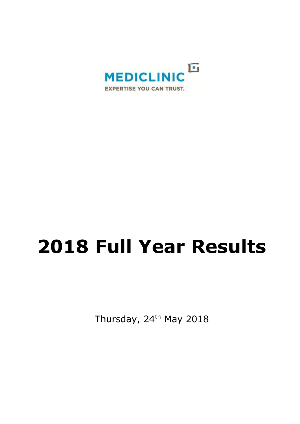

# **2018 Full Year Results**

Thursday, 24<sup>th</sup> May 2018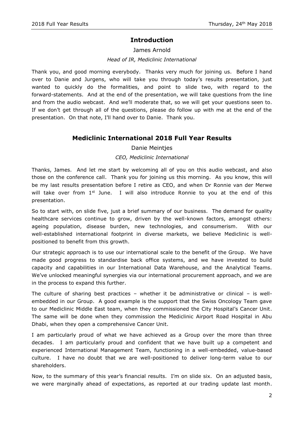## **Introduction**

James Arnold

*Head of IR, Mediclinic International*

Thank you, and good morning everybody. Thanks very much for joining us. Before I hand over to Danie and Jurgens, who will take you through today's results presentation, just wanted to quickly do the formalities, and point to slide two, with regard to the forward-statements. And at the end of the presentation, we will take questions from the line and from the audio webcast. And we'll moderate that, so we will get your questions seen to. If we don't get through all of the questions, please do follow up with me at the end of the presentation. On that note, I'll hand over to Danie. Thank you.

## **Mediclinic International 2018 Full Year Results**

#### Danie Meintjes

#### *CEO, Mediclinic International*

Thanks, James. And let me start by welcoming all of you on this audio webcast, and also those on the conference call. Thank you for joining us this morning. As you know, this will be my last results presentation before I retire as CEO, and when Dr Ronnie van der Merwe will take over from  $1^{st}$  June. I will also introduce Ronnie to you at the end of this presentation.

So to start with, on slide five, just a brief summary of our business. The demand for quality healthcare services continue to grow, driven by the well-known factors, amongst others: ageing population, disease burden, new technologies, and consumerism. With our well-established international footprint in diverse markets, we believe Mediclinic is wellpositioned to benefit from this growth.

Our strategic approach is to use our international scale to the benefit of the Group. We have made good progress to standardise back office systems, and we have invested to build capacity and capabilities in our International Data Warehouse, and the Analytical Teams. We've unlocked meaningful synergies via our international procurement approach, and we are in the process to expand this further.

The culture of sharing best practices – whether it be administrative or clinical – is wellembedded in our Group. A good example is the support that the Swiss Oncology Team gave to our Mediclinic Middle East team, when they commissioned the City Hospital's Cancer Unit. The same will be done when they commission the Mediclinic Airport Road Hospital in Abu Dhabi, when they open a comprehensive Cancer Unit.

I am particularly proud of what we have achieved as a Group over the more than three decades. I am particularly proud and confident that we have built up a competent and experienced International Management Team, functioning in a well-embedded, value-based culture. I have no doubt that we are well-positioned to deliver long-term value to our shareholders.

Now, to the summary of this year's financial results. I'm on slide six. On an adjusted basis, we were marginally ahead of expectations, as reported at our trading update last month.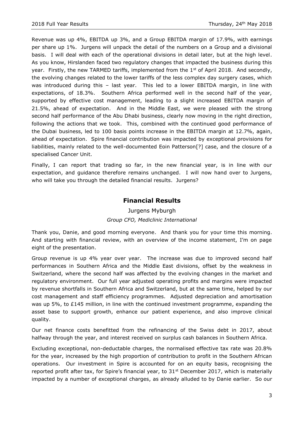Revenue was up 4%, EBITDA up 3%, and a Group EBITDA margin of 17.9%, with earnings per share up 1%. Jurgens will unpack the detail of the numbers on a Group and a divisional basis. I will deal with each of the operational divisions in detail later, but at the high level. As you know, Hirslanden faced two regulatory changes that impacted the business during this year. Firstly, the new TARMED tariffs, implemented from the  $1<sup>st</sup>$  of April 2018. And secondly, the evolving changes related to the lower tariffs of the less complex day surgery cases, which was introduced during this – last year. This led to a lower EBITDA margin, in line with expectations, of 18.3%. Southern Africa performed well in the second half of the year, supported by effective cost management, leading to a slight increased EBITDA margin of 21.5%, ahead of expectation. And in the Middle East, we were pleased with the strong second half performance of the Abu Dhabi business, clearly now moving in the right direction, following the actions that we took. This, combined with the continued good performance of the Dubai business, led to 100 basis points increase in the EBITDA margin at 12.7%, again, ahead of expectation. Spire financial contribution was impacted by exceptional provisions for liabilities, mainly related to the well-documented Eoin Patterson[?] case, and the closure of a specialised Cancer Unit.

Finally, I can report that trading so far, in the new financial year, is in line with our expectation, and guidance therefore remains unchanged. I will now hand over to Jurgens, who will take you through the detailed financial results. Jurgens?

## **Financial Results**

## Jurgens Myburgh *Group CFO, Mediclinic International*

Thank you, Danie, and good morning everyone. And thank you for your time this morning. And starting with financial review, with an overview of the income statement, I'm on page eight of the presentation.

Group revenue is up 4% year over year. The increase was due to improved second half performances in Southern Africa and the Middle East divisions, offset by the weakness in Switzerland, where the second half was affected by the evolving changes in the market and regulatory environment. Our full year adjusted operating profits and margins were impacted by revenue shortfalls in Southern Africa and Switzerland, but at the same time, helped by our cost management and staff efficiency programmes. Adjusted depreciation and amortisation was up 5%, to £145 million, in line with the continued investment programme, expanding the asset base to support growth, enhance our patient experience, and also improve clinical quality.

Our net finance costs benefitted from the refinancing of the Swiss debt in 2017, about halfway through the year, and interest received on surplus cash balances in Southern Africa.

Excluding exceptional, non-deductable charges, the normalised effective tax rate was 20.8% for the year, increased by the high proportion of contribution to profit in the Southern African operations. Our investment in Spire is accounted for on an equity basis, recognising the reported profit after tax, for Spire's financial year, to  $31<sup>st</sup>$  December 2017, which is materially impacted by a number of exceptional charges, as already alluded to by Danie earlier. So our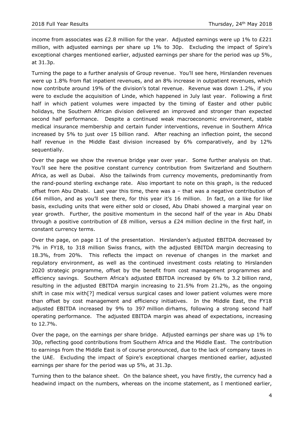income from associates was £2.8 million for the year. Adjusted earnings were up 1% to £221 million, with adjusted earnings per share up 1% to 30p. Excluding the impact of Spire's exceptional charges mentioned earlier, adjusted earnings per share for the period was up 5%, at 31.3p.

Turning the page to a further analysis of Group revenue. You'll see here, Hirslanden revenues were up 1.8% from flat inpatient revenues, and an 8% increase in outpatient revenues, which now contribute around 19% of the division's total revenue. Revenue was down 1.2%, if you were to exclude the acquisition of Linde, which happened in July last year. Following a first half in which patient volumes were impacted by the timing of Easter and other public holidays, the Southern African division delivered an improved and stronger than expected second half performance. Despite a continued weak macroeconomic environment, stable medical insurance membership and certain funder interventions, revenue in Southern Africa increased by 5% to just over 15 billion rand. After reaching an inflection point, the second half revenue in the Middle East division increased by 6% comparatively, and by 12% sequentially.

Over the page we show the revenue bridge year over year. Some further analysis on that. You'll see here the positive constant currency contribution from Switzerland and Southern Africa, as well as Dubai. Also the tailwinds from currency movements, predominantly from the rand-pound sterling exchange rate. Also important to note on this graph, is the reduced offset from Abu Dhabi. Last year this time, there was a – that was a negative contribution of £64 million, and as you'll see there, for this year it's 16 million. In fact, on a like for like basis, excluding units that were either sold or closed, Abu Dhabi showed a marginal year on year growth. Further, the positive momentum in the second half of the year in Abu Dhabi through a positive contribution of £8 million, versus a £24 million decline in the first half, in constant currency terms.

Over the page, on page 11 of the presentation. Hirslanden's adjusted EBITDA decreased by 7% in FY18, to 318 million Swiss francs, with the adjusted EBITDA margin decreasing to 18.3%, from 20%. This reflects the impact on revenue of changes in the market and regulatory environment, as well as the continued investment costs relating to Hirslanden 2020 strategic programme, offset by the benefit from cost management programmes and efficiency savings. Southern Africa's adjusted EBITDA increased by 6% to 3.2 billion rand, resulting in the adjusted EBITDA margin increasing to 21.5% from 21.2%, as the ongoing shift in case mix with[?] medical versus surgical cases and lower patient volumes were more than offset by cost management and efficiency initiatives. In the Middle East, the FY18 adjusted EBITDA increased by 9% to 397 million dirhams, following a strong second half operating performance. The adjusted EBITDA margin was ahead of expectations, increasing to 12.7%.

Over the page, on the earnings per share bridge. Adjusted earnings per share was up 1% to 30p, reflecting good contributions from Southern Africa and the Middle East. The contribution to earnings from the Middle East is of course pronounced, due to the lack of company taxes in the UAE. Excluding the impact of Spire's exceptional charges mentioned earlier, adjusted earnings per share for the period was up 5%, at 31.3p.

Turning then to the balance sheet. On the balance sheet, you have firstly, the currency had a headwind impact on the numbers, whereas on the income statement, as I mentioned earlier,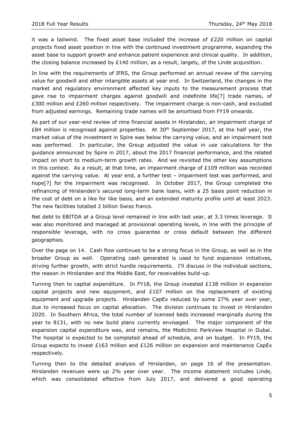it was a tailwind. The fixed asset base included the increase of  $E220$  million on capital projects fixed asset position in line with the continued investment programme, expanding the asset base to support growth and enhance patient experience and clinical quality. In addition, the closing balance increased by £140 million, as a result, largely, of the Linde acquisition.

In line with the requirements of IFRS, the Group performed an annual review of the carrying value for goodwill and other intangible assets at year end. In Switzerland, the changes in the market and regulatory environment affected key inputs to the measurement process that gave rise to impairment charges against goodwill and indefinite life[?] trade names, of £300 million and £260 million respectively. The impairment charge is non-cash, and excluded from adjusted earnings. Remaining trade names will be amortised from FY19 onwards.

As part of our year-end review of nine financial assets in Hirslanden, an impairment charge of  $£84$  million is recognised against properties. At  $30<sup>th</sup>$  September 2017, at the half year, the market value of the investment in Spire was below the carrying value, and an impairment test was performed. In particular, the Group adjusted the value in use calculations for the guidance announced by Spire in 2017, about the 2017 financial performance, and the related impact on short to medium-term growth rates. And we revisited the other key assumptions in this context. As a result, at that time, an impairment charge of  $£109$  million was recorded against the carrying value. At year end, a further test – impairment test was performed, and hope[?] for the impairment was recognised. In October 2017, the Group completed the refinancing of Hirslanden's secured long-term bank loans, with a 25 basis point reduction in the cost of debt on a like for like basis, and an extended maturity profile until at least 2023. The new facilities totalled 2 billion Swiss francs.

Net debt to EBITDA at a Group level remained in line with last year, at 3.3 times leverage. It was also monitored and managed at provisional operating levels, in line with the principle of responsible leverage, with no cross guarantee or cross default between the different geographies.

Over the page on 14. Cash flow continues to be a strong focus in the Group, as well as in the broader Group as well. Operating cash generated is used to fund expansion initiatives, driving further growth, with strict hurdle requirements. I'll discuss in the individual sections, the reason in Hirslanden and the Middle East, for receivables build-up.

Turning then to capital expenditure. In FY18, the Group invested £138 million in expansion capital projects and new equipment, and  $£107$  million on the replacement of existing equipment and upgrade projects. Hirslanden CapEx reduced by some 27% year over year, due to increased focus on capital allocation. The division continues to invest in Hirslanden 2020. In Southern Africa, the total number of licensed beds increased marginally during the year to 8131, with no new build plans currently envisaged. The major component of the expansion capital expenditure was, and remains, the Mediclinic Parkview Hospital in Dubai. The hospital is expected to be completed ahead of schedule, and on budget. In FY19, the Group expects to invest £163 million and £126 million on expansion and maintenance CapEx respectively.

Turning then to the detailed analysis of Hirslanden, on page 16 of the presentation. Hirslanden revenues were up 2% year over year. The income statement includes Linde, which was consolidated effective from July 2017, and delivered a good operating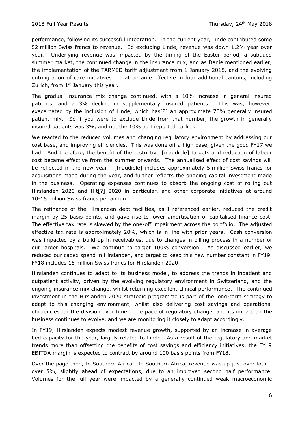performance, following its successful integration. In the current year, Linde contributed some 52 million Swiss francs to revenue. So excluding Linde, revenue was down 1.2% year over year. Underlying revenue was impacted by the timing of the Easter period, a subdued summer market, the continued change in the insurance mix, and as Danie mentioned earlier, the implementation of the TARMED tariff adjustment from 1 January 2018, and the evolving outmigration of care initiatives. That became effective in four additional cantons, including Zurich, from  $1<sup>st</sup>$  January this year.

The gradual insurance mix change continued, with a 10% increase in general insured patients, and a 3% decline in supplementary insured patients. This was, however, exacerbated by the inclusion of Linde, which has[?] an approximate 70% generally insured patient mix. So if you were to exclude Linde from that number, the growth in generally insured patients was 3%, and not the 10% as I reported earlier.

We reacted to the reduced volumes and changing regulatory environment by addressing our cost base, and improving efficiencies. This was done off a high base, given the good FY17 we had. And therefore, the benefit of the restrictive [inaudible] targets and reduction of labour cost became effective from the summer onwards. The annualised effect of cost savings will be reflected in the new year. [Inaudible] includes approximately 5 million Swiss francs for acquisitions made during the year, and further reflects the ongoing capital investment made in the business. Operating expenses continues to absorb the ongoing cost of rolling out Hirslanden 2020 and Hit[?] 2020 in particular, and other corporate initiatives at around 10-15 million Swiss francs per annum.

The refinance of the Hirslanden debt facilities, as I referenced earlier, reduced the credit margin by 25 basis points, and gave rise to lower amortisation of capitalised finance cost. The effective tax rate is skewed by the one-off impairment across the portfolio. The adjusted effective tax rate is approximately 20%, which is in line with prior years. Cash conversion was impacted by a build-up in receivables, due to changes in billing process in a number of our larger hospitals. We continue to target 100% conversion. As discussed earlier, we reduced our capex spend in Hirslanden, and target to keep this new number constant in FY19. FY18 includes 16 million Swiss francs for Hirslanden 2020.

Hirslanden continues to adapt to its business model, to address the trends in inpatient and outpatient activity, driven by the evolving regulatory environment in Switzerland, and the ongoing insurance mix change, whilst returning excellent clinical performance. The continued investment in the Hirslanden 2020 strategic programme is part of the long-term strategy to adapt to this changing environment, whilst also delivering cost savings and operational efficiencies for the division over time. The pace of regulatory change, and its impact on the business continues to evolve, and we are monitoring it closely to adapt accordingly.

In FY19, Hirslanden expects modest revenue growth, supported by an increase in average bed capacity for the year, largely related to Linde. As a result of the regulatory and market trends more than offsetting the benefits of cost savings and efficiency initiatives, the FY19 EBITDA margin is expected to contract by around 100 basis points from FY18.

Over the page then, to Southern Africa. In Southern Africa, revenue was up just over four – over 5%, slightly ahead of expectations, due to an improved second half performance. Volumes for the full year were impacted by a generally continued weak macroeconomic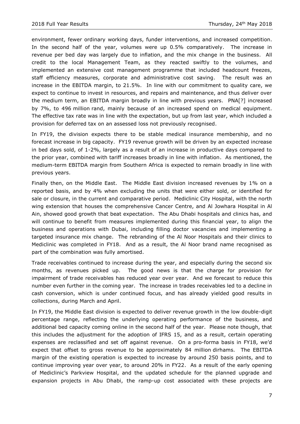environment, fewer ordinary working days, funder interventions, and increased competition. In the second half of the year, volumes were up 0.5% comparatively. The increase in revenue per bed day was largely due to inflation, and the mix change in the business. All credit to the local Management Team, as they reacted swiftly to the volumes, and implemented an extensive cost management programme that included headcount freezes, staff efficiency measures, corporate and administrative cost saving. The result was an increase in the EBITDA margin, to 21.5%. In line with our commitment to quality care, we expect to continue to invest in resources, and repairs and maintenance, and thus deliver over the medium term, an EBITDA margin broadly in line with previous years. PNA[?] increased by 7%, to 496 million rand, mainly because of an increased spend on medical equipment. The effective tax rate was in line with the expectation, but up from last year, which included a provision for deferred tax on an assessed loss not previously recognised.

In FY19, the division expects there to be stable medical insurance membership, and no forecast increase in big capacity. FY19 revenue growth will be driven by an expected increase in bed days sold, of 1-2%, largely as a result of an increase in productive days compared to the prior year, combined with tariff increases broadly in line with inflation. As mentioned, the medium-term EBITDA margin from Southern Africa is expected to remain broadly in line with previous years.

Finally then, on the Middle East. The Middle East division increased revenues by 1% on a reported basis, and by 4% when excluding the units that were either sold, or identified for sale or closure, in the current and comparative period. Mediclinic City Hospital, with the north wing extension that houses the comprehensive Cancer Centre, and Al Jowhara Hospital in Al Ain, showed good growth that beat expectation. The Abu Dhabi hospitals and clinics has, and will continue to benefit from measures implemented during this financial year, to align the business and operations with Dubai, including filling doctor vacancies and implementing a targeted insurance mix change. The rebranding of the Al Noor Hospitals and their clinics to Mediclinic was completed in FY18. And as a result, the Al Noor brand name recognised as part of the combination was fully amortised.

Trade receivables continued to increase during the year, and especially during the second six months, as revenues picked up. The good news is that the charge for provision for impairment of trade receivables has reduced year over year. And we forecast to reduce this number even further in the coming year. The increase in trades receivables led to a decline in cash conversion, which is under continued focus, and has already yielded good results in collections, during March and April.

In FY19, the Middle East division is expected to deliver revenue growth in the low double-digit percentage range, reflecting the underlying operating performance of the business, and additional bed capacity coming online in the second half of the year. Please note though, that this includes the adjustment for the adoption of IFRS 15, and as a result, certain operating expenses are reclassified and set off against revenue. On a pro-forma basis in FY18, we'd expect that offset to gross revenue to be approximately 84 million dirhams. The EBITDA margin of the existing operation is expected to increase by around 250 basis points, and to continue improving year over year, to around 20% in FY22. As a result of the early opening of Mediclinic's Parkview Hospital, and the updated schedule for the planned upgrade and expansion projects in Abu Dhabi, the ramp-up cost associated with these projects are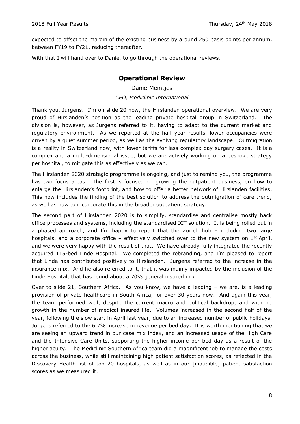expected to offset the margin of the existing business by around 250 basis points per annum, between FY19 to FY21, reducing thereafter.

With that I will hand over to Danie, to go through the operational reviews.

## **Operational Review**

Danie Meintjes *CEO, Mediclinic International*

Thank you, Jurgens. I'm on slide 20 now, the Hirslanden operational overview. We are very proud of Hirslanden's position as the leading private hospital group in Switzerland. The division is, however, as Jurgens referred to it, having to adapt to the current market and regulatory environment. As we reported at the half year results, lower occupancies were driven by a quiet summer period, as well as the evolving regulatory landscape. Outmigration is a reality in Switzerland now, with lower tariffs for less complex day surgery cases. It is a complex and a multi-dimensional issue, but we are actively working on a bespoke strategy per hospital, to mitigate this as effectively as we can.

The Hirslanden 2020 strategic programme is ongoing, and just to remind you, the programme has two focus areas. The first is focused on growing the outpatient business, on how to enlarge the Hirslanden's footprint, and how to offer a better network of Hirslanden facilities. This now includes the finding of the best solution to address the outmigration of care trend, as well as how to incorporate this in the broader outpatient strategy.

The second part of Hirslanden 2020 is to simplify, standardise and centralise mostly back office processes and systems, including the standardised ICT solution. It is being rolled out in a phased approach, and I'm happy to report that the Zurich hub – including two large hospitals, and a corporate office – effectively switched over to the new system on  $1<sup>st</sup>$  April, and we were very happy with the result of that. We have already fully integrated the recently acquired 115-bed Linde Hospital. We completed the rebranding, and I'm pleased to report that Linde has contributed positively to Hirslanden. Jurgens referred to the increase in the insurance mix. And he also referred to it, that it was mainly impacted by the inclusion of the Linde Hospital, that has round about a 70% general insured mix.

Over to slide 21, Southern Africa. As you know, we have a leading – we are, is a leading provision of private healthcare in South Africa, for over 30 years now. And again this year, the team performed well, despite the current macro and political backdrop, and with no growth in the number of medical insured life. Volumes increased in the second half of the year, following the slow start in April last year, due to an increased number of public holidays. Jurgens referred to the 6.7% increase in revenue per bed day. It is worth mentioning that we are seeing an upward trend in our case mix index, and an increased usage of the High Care and the Intensive Care Units, supporting the higher income per bed day as a result of the higher acuity. The Mediclinic Southern Africa team did a magnificent job to manage the costs across the business, while still maintaining high patient satisfaction scores, as reflected in the Discovery Health list of top 20 hospitals, as well as in our [inaudible] patient satisfaction scores as we measured it.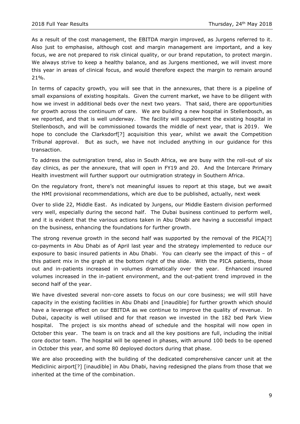As a result of the cost management, the EBITDA margin improved, as Jurgens referred to it. Also just to emphasise, although cost and margin management are important, and a key focus, we are not prepared to risk clinical quality, or our brand reputation, to protect margin. We always strive to keep a healthy balance, and as Jurgens mentioned, we will invest more this year in areas of clinical focus, and would therefore expect the margin to remain around 21%.

In terms of capacity growth, you will see that in the annexures, that there is a pipeline of small expansions of existing hospitals. Given the current market, we have to be diligent with how we invest in additional beds over the next two years. That said, there are opportunities for growth across the continuum of care. We are building a new hospital in Stellenbosch, as we reported, and that is well underway. The facility will supplement the existing hospital in Stellenbosch, and will be commissioned towards the middle of next year, that is 2019. We hope to conclude the Clarksdorf[?] acquisition this year, whilst we await the Competition Tribunal approval. But as such, we have not included anything in our guidance for this transaction.

To address the outmigration trend, also in South Africa, we are busy with the roll-out of six day clinics, as per the annexure, that will open in FY19 and 20. And the Intercare Primary Health investment will further support our outmigration strategy in Southern Africa.

On the regulatory front, there's not meaningful issues to report at this stage, but we await the HMI provisional recommendations, which are due to be published, actually, next week

Over to slide 22, Middle East. As indicated by Jurgens, our Middle Eastern division performed very well, especially during the second half. The Dubai business continued to perform well, and it is evident that the various actions taken in Abu Dhabi are having a successful impact on the business, enhancing the foundations for further growth.

The strong revenue growth in the second half was supported by the removal of the PICA[?] co-payments in Abu Dhabi as of April last year and the strategy implemented to reduce our exposure to basic insured patients in Abu Dhabi. You can clearly see the impact of this – of this patient mix in the graph at the bottom right of the slide. With the PICA patients, those out and in-patients increased in volumes dramatically over the year. Enhanced insured volumes increased in the in-patient environment, and the out-patient trend improved in the second half of the year.

We have divested several non-core assets to focus on our core business; we will still have capacity in the existing facilities in Abu Dhabi and [inaudible] for further growth which should have a leverage effect on our EBITDA as we continue to improve the quality of revenue. In Dubai, capacity is well utilised and for that reason we invested in the 182 bed Park View hospital. The project is six months ahead of schedule and the hospital will now open in October this year. The team is on track and all the key positions are full, including the initial core doctor team. The hospital will be opened in phases, with around 100 beds to be opened in October this year, and some 80 deployed doctors during that phase.

We are also proceeding with the building of the dedicated comprehensive cancer unit at the Mediclinic airport[?] [inaudible] in Abu Dhabi, having redesigned the plans from those that we inherited at the time of the combination.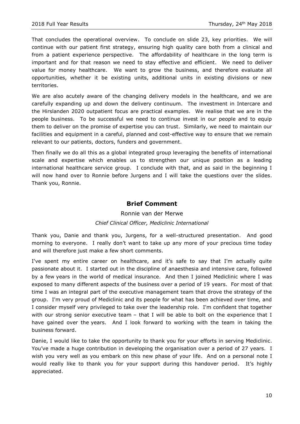That concludes the operational overview. To conclude on slide 23, key priorities. We will continue with our patient first strategy, ensuring high quality care both from a clinical and from a patient experience perspective. The affordability of healthcare in the long term is important and for that reason we need to stay effective and efficient. We need to deliver value for money healthcare. We want to grow the business, and therefore evaluate all opportunities, whether it be existing units, additional units in existing divisions or new territories.

We are also acutely aware of the changing delivery models in the healthcare, and we are carefully expanding up and down the delivery continuum. The investment in Intercare and the Hirslanden 2020 outpatient focus are practical examples. We realise that we are in the people business. To be successful we need to continue invest in our people and to equip them to deliver on the promise of expertise you can trust. Similarly, we need to maintain our facilities and equipment in a careful, planned and cost-effective way to ensure that we remain relevant to our patients, doctors, funders and government.

Then finally we do all this as a global integrated group leveraging the benefits of international scale and expertise which enables us to strengthen our unique position as a leading international healthcare service group. I conclude with that, and as said in the beginning I will now hand over to Ronnie before Jurgens and I will take the questions over the slides. Thank you, Ronnie.

### **Brief Comment**

## Ronnie van der Merwe *Chief Clinical Officer, Mediclinic International*

Thank you, Danie and thank you, Jurgens, for a well-structured presentation. And good morning to everyone. I really don't want to take up any more of your precious time today and will therefore just make a few short comments.

I've spent my entire career on healthcare, and it's safe to say that I'm actually quite passionate about it. I started out in the discipline of anaesthesia and intensive care, followed by a few years in the world of medical insurance. And then I joined Mediclinic where I was exposed to many different aspects of the business over a period of 19 years. For most of that time I was an integral part of the executive management team that drove the strategy of the group. I'm very proud of Mediclinic and its people for what has been achieved over time, and I consider myself very privileged to take over the leadership role. I'm confident that together with our strong senior executive team – that I will be able to bolt on the experience that I have gained over the years. And I look forward to working with the team in taking the business forward.

Danie, I would like to take the opportunity to thank you for your efforts in serving Mediclinic. You've made a huge contribution in developing the organisation over a period of 27 years. I wish you very well as you embark on this new phase of your life. And on a personal note I would really like to thank you for your support during this handover period. It's highly appreciated.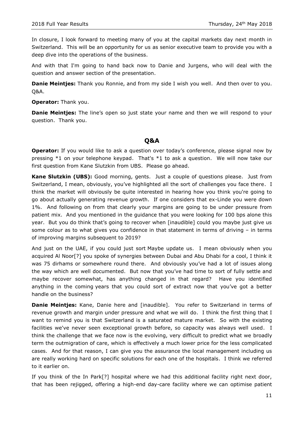In closure, I look forward to meeting many of you at the capital markets day next month in Switzerland. This will be an opportunity for us as senior executive team to provide you with a deep dive into the operations of the business.

And with that I'm going to hand back now to Danie and Jurgens, who will deal with the question and answer section of the presentation.

**Danie Meintjes:** Thank you Ronnie, and from my side I wish you well. And then over to you. Q&A.

**Operator:** Thank you.

**Danie Meintjes:** The line's open so just state your name and then we will respond to your question. Thank you.

#### **Q&A**

**Operator:** If you would like to ask a question over today's conference, please signal now by pressing  $*1$  on your telephone keypad. That's  $*1$  to ask a question. We will now take our first question from Kane Slutzkin from UBS. Please go ahead.

**Kane Slutzkin (UBS):** Good morning, gents. Just a couple of questions please. Just from Switzerland, I mean, obviously, you've highlighted all the sort of challenges you face there. I think the market will obviously be quite interested in hearing how you think you're going to go about actually generating revenue growth. If one considers that ex-Linde you were down 1%. And following on from that clearly your margins are going to be under pressure from patient mix. And you mentioned in the guidance that you were looking for 100 bps alone this year. But you do think that's going to recover when [inaudible] could you maybe just give us some colour as to what gives you confidence in that statement in terms of driving – in terms of improving margins subsequent to 2019?

And just on the UAE, if you could just sort Maybe update us. I mean obviously when you acquired Al Noor[?] you spoke of synergies between Dubai and Abu Dhabi for a cool, I think it was 75 dirhams or somewhere round there. And obviously you've had a lot of issues along the way which are well documented. But now that you've had time to sort of fully settle and maybe recover somewhat, has anything changed in that regard? Have you identified anything in the coming years that you could sort of extract now that you've got a better handle on the business?

**Danie Meintjes:** Kane, Danie here and [inaudible]. You refer to Switzerland in terms of revenue growth and margin under pressure and what we will do. I think the first thing that I want to remind you is that Switzerland is a saturated mature market. So with the existing facilities we've never seen exceptional growth before, so capacity was always well used. I think the challenge that we face now is the evolving, very difficult to predict what we broadly term the outmigration of care, which is effectively a much lower price for the less complicated cases. And for that reason, I can give you the assurance the local management including us are really working hard on specific solutions for each one of the hospitals. I think we referred to it earlier on.

If you think of the In Park[?] hospital where we had this additional facility right next door, that has been rejigged, offering a high-end day-care facility where we can optimise patient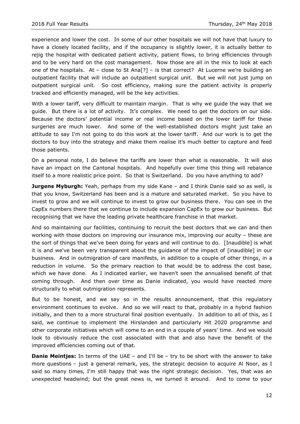experience and lower the cost. In some of our other hospitals we will not have that luxury to have a closely located facility, and if the occupancy is slightly lower, it is actually better to rejig the hospital with dedicated patient activity, patient flows, to bring efficiencies through and to be very hard on the cost management. Now those are all in the mix to look at each one of the hospitals. At – close to St Ana[?] – is that correct? At Lucerne we're building an outpatient facility that will include an outpatient surgical unit. But we will not just jump on outpatient surgical unit. So cost efficiency, making sure the patient activity is properly tracked and efficiently managed, will be the key activities.

With a lower tariff, very difficult to maintain margin. That is why we guide the way that we guide. But there is a lot of activity. It's complex. We need to get the doctors on our side. Because the doctors' potential income or real income based on the lower tariff for these surgeries are much lower. And some of the well-established doctors might just take an attitude to say I'm not going to do this work at the lower tariff. And our work is to get the doctors to buy into the strategy and make them realise it's much better to capture and feed those patients.

On a personal note, I do believe the tariffs are lower than what is reasonable. It will also have an impact on the Cantonal hospitals. And hopefully over time this thing will rebalance itself to a more realistic price point. So that is Switzerland. Do you have anything to add?

**Jurgens Myburgh:** Yeah, perhaps from my side Kane – and I think Danie said so as well, is that you know, Switzerland has been and is a mature and saturated market. So you have to invest to grow and we will continue to invest to grow our business there. You can see in the CapEx numbers there that we continue to include expansion CapEx to grow our business. But recognising that we have the leading private healthcare franchise in that market.

And so maintaining our facilities, continuing to recruit the best doctors that we can and then working with those doctors on improving our insurance mix, improving our acuity – these are the sort of things that we've been doing for years and will continue to do. [Inaudible] is what it is and we've been very transparent about the guidance of the impact of [inaudible] in our business. And in outmigration of care manifests, in addition to a couple of other things, in a reduction in volume. So the primary reaction to that would be to address the cost base, which we have done. As I indicated earlier, we haven't seen the annualised benefit of that coming through. And then over time as Danie indicated, you would have reacted more structurally to what outmigration represents.

But to be honest, and we say so in the results announcement, that this regulatory environment continues to evolve. And so we will react to that, probably in a hybrid fashion initially, and then to a more structural final position eventually. In addition to all of this, as I said, we continue to implement the Hirslanden and particularly Hit 2020 programme and other corporate initiatives which will come to an end in a couple of years' time. And we would look to obviously reduce the cost associated with that and also have the benefit of the improved efficiencies coming out of that.

**Danie Meintjes:** In terms of the UAE – and I'll be – try to be short with the answer to take more questions – just a general remark, yes, the strategic decision to acquire Al Noor, as I said so many times, I'm still happy that was the right strategic decision. Yes, that was an unexpected headwind; but the great news is, we turned it around. And to come to your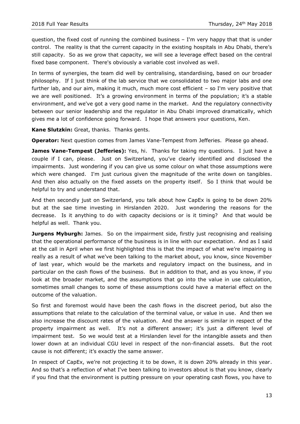question, the fixed cost of running the combined business – I'm very happy that that is under control. The reality is that the current capacity in the existing hospitals in Abu Dhabi, there's still capacity. So as we grow that capacity, we will see a leverage effect based on the central fixed base component. There's obviously a variable cost involved as well.

In terms of synergies, the team did well by centralising, standardising, based on our broader philosophy. If I just think of the lab service that we consolidated to two major labs and one further lab, and our aim, making it much, much more cost efficient – so I'm very positive that we are well positioned. It's a growing environment in terms of the population; it's a stable environment, and we've got a very good name in the market. And the regulatory connectivity between our senior leadership and the regulator in Abu Dhabi improved dramatically, which gives me a lot of confidence going forward. I hope that answers your questions, Ken.

**Kane Slutzkin:** Great, thanks. Thanks gents.

**Operator:** Next question comes from James Vane-Tempest from Jefferies. Please go ahead.

**James Vane-Tempest (Jefferies):** Yes, hi. Thanks for taking my questions. I just have a couple if I can, please. Just on Switzerland, you've clearly identified and disclosed the impairments. Just wondering if you can give us some colour on what those assumptions were which were changed. I'm just curious given the magnitude of the write down on tangibles. And then also actually on the fixed assets on the property itself. So I think that would be helpful to try and understand that.

And then secondly just on Switzerland, you talk about how CapEx is going to be down 20% but at the sae time investing in Hirslanden 2020. Just wondering the reasons for the decrease. Is it anything to do with capacity decisions or is it timing? And that would be helpful as well. Thank you.

**Jurgens Myburgh:** James. So on the impairment side, firstly just recognising and realising that the operational performance of the business is in line with our expectation. And as I said at the call in April when we first highlighted this is that the impact of what we're impairing is really as a result of what we've been talking to the market about, you know, since November of last year, which would be the markets and regulatory impact on the business, and in particular on the cash flows of the business. But in addition to that, and as you know, if you look at the broader market, and the assumptions that go into the value in use calculation, sometimes small changes to some of these assumptions could have a material effect on the outcome of the valuation.

So first and foremost would have been the cash flows in the discreet period, but also the assumptions that relate to the calculation of the terminal value, or value in use. And then we also increase the discount rates of the valuation. And the answer is similar in respect of the property impairment as well. It's not a different answer; it's just a different level of impairment test. So we would test at a Hirslanden level for the intangible assets and then lower down at an individual CGU level in respect of the non-financial assets. But the root cause is not different; it's exactly the same answer.

In respect of CapEx, we're not projecting it to be down, it is down 20% already in this year. And so that's a reflection of what I've been talking to investors about is that you know, clearly if you find that the environment is putting pressure on your operating cash flows, you have to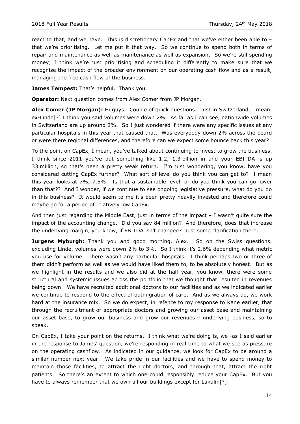react to that, and we have. This is discretionary CapEx and that we've either been able to – that we're prioritising. Let me put it that way. So we continue to spend both in terms of repair and maintenance as well as maintenance as well as expansion. So we're still spending money; I think we're just prioritising and scheduling it differently to make sure that we recognise the impact of the broader environment on our operating cash flow and as a result, managing the free cash flow of the business.

James Tempest: That's helpful. Thank you.

**Operator:** Next question comes from Alex Comer from JP Morgan.

**Alex Comer (JP Morgan):** Hi guys. Couple of quick questions. Just in Switzerland, I mean, ex-Linde[?] I think you said volumes were down 2%. As far as I can see, nationwide volumes in Switzerland are up around 2%. So I just wondered if there were any specific issues at any particular hospitals in this year that caused that. Was everybody down 2% across the board or were there regional differences, and therefore can we expect some bounce back this year?

To the point on CapEx, I mean, you've talked about continuing to invest to grow the business. I think since 2011 you've put something like 1.2, 1.3 billion in and your EBITDA is up 33 million, so that's been a pretty weak return. I'm just wondering, you know, have you considered cutting CapEx further? What sort of level do you think you can get to? I mean this year looks at 7%, 7.5%. Is that a sustainable level, or do you think you can go lower than that?? And I wonder, if we continue to see ongoing legislative pressure, what do you do in this business? It would seem to me it's been pretty heavily invested and therefore could maybe go for a period of relatively low CapEx.

And then just regarding the Middle East, just in terms of the impact  $-1$  wasn't quite sure the impact of the accounting change. Did you say 84 million? And therefore, does that increase the underlying margin, you know, if EBITDA isn't changed? Just some clarification there.

**Jurgens Myburgh:** Thank you and good morning, Alex. So on the Swiss questions, excluding Linde, volumes were down 2% to 3%. So I think it's 2.6% depending what metric you use for volume. There wasn't any particular hospitals. I think perhaps two or three of them didn't perform as well as we would have liked them to, to be absolutely honest. But as we highlight in the results and we also did at the half year, you know, there were some structural and systemic issues across the portfolio that we thought that resulted in revenues being down. We have recruited additional doctors to our facilities and as we indicated earlier we continue to respond to the effect of outmigration of care. And as we always do, we work hard at the insurance mix. So we do expect, in refence to my response to Kane earlier, that through the recruitment of appropriate doctors and growing our asset base and maintaining our asset base, to grow our business and grow our revenues – underlying business, so to speak.

On CapEx, I take your point on the returns. I think what we're doing is, we -as I said earlier in the response to James' question, we're responding in real time to what we see as pressure on the operating cashflow. As indicated in our guidance, we look for CapEx to be around a similar number next year. We take pride in our facilities and we have to spend money to maintain those facilities, to attract the right doctors, and through that, attract the right patients. So there's an extent to which one could responsibly reduce your CapEx. But you have to always remember that we own all our buildings except for Lakulin[?].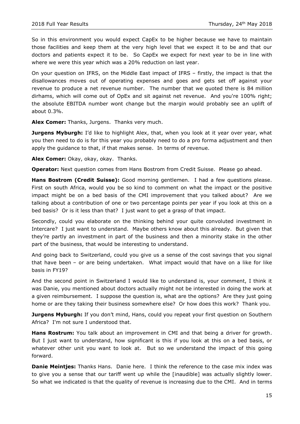So in this environment you would expect CapEx to be higher because we have to maintain those facilities and keep them at the very high level that we expect it to be and that our doctors and patients expect it to be. So CapEx we expect for next year to be in line with where we were this year which was a 20% reduction on last year.

On your question on IFRS, on the Middle East impact of IFRS – firstly, the impact is that the disallowances moves out of operating expenses and goes and gets set off against your revenue to produce a net revenue number. The number that we quoted there is 84 million dirhams, which will come out of OpEx and sit against net revenue. And you're 100% right; the absolute EBITDA number wont change but the margin would probably see an uplift of about 0.3%.

**Alex Comer:** Thanks, Jurgens. Thanks very much.

**Jurgens Myburgh:** I'd like to highlight Alex, that, when you look at it year over year, what you then need to do is for this year you probably need to do a pro forma adjustment and then apply the guidance to that, if that makes sense. In terms of revenue.

**Alex Comer:** Okay, okay, okay. Thanks.

**Operator:** Next question comes from Hans Bostrom from Credit Suisse. Please go ahead.

**Hans Bostrom (Credit Suisse):** Good morning gentlemen. I had a few questions please. First on south Africa, would you be so kind to comment on what the impact or the positive impact might be on a bed basis of the CMI improvement that you talked about? Are we talking about a contribution of one or two percentage points per year if you look at this on a bed basis? Or is it less than that? I just want to get a grasp of that impact.

Secondly, could you elaborate on the thinking behind your quite convoluted investment in Intercare? I just want to understand. Maybe others know about this already. But given that they're partly an investment in part of the business and then a minority stake in the other part of the business, that would be interesting to understand.

And going back to Switzerland, could you give us a sense of the cost savings that you signal that have been – or are being undertaken. What impact would that have on a like for like basis in FY19?

And the second point in Switzerland I would like to understand is, your comment, I think it was Danie, you mentioned about doctors actually might not be interested in doing the work at a given reimbursement. I suppose the question is, what are the options? Are they just going home or are they taking their business somewhere else? Or how does this work? Thank you.

**Jurgens Myburgh:** If you don't mind, Hans, could you repeat your first question on Southern Africa? I'm not sure I understood that.

**Hans Rostrum:** You talk about an improvement in CMI and that being a driver for growth. But I just want to understand, how significant is this if you look at this on a bed basis, or whatever other unit you want to look at. But so we understand the impact of this going forward.

**Danie Meintjes:** Thanks Hans. Danie here. I think the reference to the case mix index was to give you a sense that our tariff went up while the [inaudible] was actually slightly lower. So what we indicated is that the quality of revenue is increasing due to the CMI. And in terms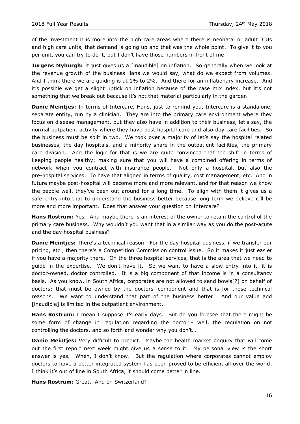of the investment it is more into the high care areas where there is neonatal or adult ICUs and high care units, that demand is going up and that was the whole point. To give it to you per unit, you can try to do it, but I don't have those numbers in front of me.

**Jurgens Myburgh:** It just gives us a [inaudible] on inflation. So generally when we look at the revenue growth of the business Hans we would say, what do we expect from volumes. And I think there we are guiding is at 1% to 2%. And there for an inflationary increase. And it's possible we get a slight uptick on inflation because of the case mix index, but it's not something that we break out because it's not that material particularly in the garden.

**Danie Meintjes:** In terms of Intercare, Hans, just to remind you, Intercare is a standalone, separate entity, run by a clinician. They are into the primary care environment where they focus on disease management, but they also have in addition to their business, let's say, the normal outpatient activity where they have post hospital care and also day care facilities. So the business must be split in two. We took over a majority of let's say the hospital related businesses, the day hospitals, and a minority share in the outpatient facilities, the primary care division. And the logic for that is we are quite convinced that the shift in terms of keeping people healthy; making sure that you will have a combined offering in terms of network when you contract with insurance people. Not only a hospital, but also the pre-hospital services. To have that aligned in terms of quality, cost management, etc. And in future maybe post-hospital will become more and more relevant, and for that reason we know the people well, they've been out around for a long time. To align with them it gives us a safe entry into that to understand the business better because long term we believe it'll be more and more important. Does that answer your question on Intercare?

**Hans Rostrum:** Yes. And maybe there is an interest of the owner to retain the control of the primary care business. Why wouldn't you want that in a similar way as you do the post-acute and the day hospital business?

**Danie Meintjes:** There's a technical reason. For the day hospital business, if we transfer our pricing, etc., then there's a Competition Commission control issue. So it makes it just easier if you have a majority there. On the three hospital services, that is the area that we need to guide in the expertise. We don't have it. So we want to have a slow entry into it, it is doctor-owned, doctor controlled. It is a big component of that income is in a consultancy basis. As you know, in South Africa, corporates are not allowed to send bowls[?] on behalf of doctors; that must be owned by the doctors' component and that is for those technical reasons. We want to understand that part of the business better. And our value add [inaudible] is limited in the outpatient environment.

**Hans Rostrum:** I mean I suppose it's early days. But do you foresee that there might be some form of change in regulation regarding the doctor – well, the regulation on not controlling the doctors, and so forth and wonder why you don't…

**Danie Meintjes:** Very difficult to predict. Maybe the health market enquiry that will come out the first report next week might give us a sense to it. My personal view is the short answer is yes. When, I don't know. But the regulation where corporates cannot employ doctors to have a better integrated system has been proved to be efficient all over the world. I think it's out of line in South Africa, it should come better in line.

**Hans Rostrum:** Great. And on Switzerland?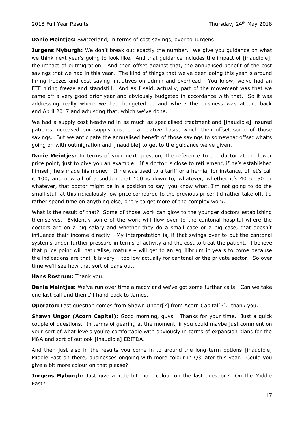**Danie Meintjes:** Switzerland, in terms of cost savings, over to Jurgens.

**Jurgens Myburgh:** We don't break out exactly the number. We give you guidance on what we think next year's going to look like. And that guidance includes the impact of [inaudible], the impact of outmigration. And then offset against that, the annualised benefit of the cost savings that we had in this year. The kind of things that we've been doing this year is around hiring freezes and cost saving initiatives on admin and overhead. You know, we've had an FTE hiring freeze and standstill. And as I said, actually, part of the movement was that we came off a very good prior year and obviously budgeted in accordance with that. So it was addressing really where we had budgeted to and where the business was at the back end April 2017 and adjusting that, which we've done.

We had a supply cost headwind in as much as specialised treatment and [inaudible] insured patients increased our supply cost on a relative basis, which then offset some of those savings. But we anticipate the annualised benefit of those savings to somewhat offset what's going on with outmigration and [inaudible] to get to the guidance we've given.

**Danie Meintjes:** In terms of your next question, the reference to the doctor at the lower price point, just to give you an example. If a doctor is close to retirement, if he's established himself, he's made his money. If he was used to a tariff or a hernia, for instance, of let's call it 100, and now all of a sudden that 100 is down to, whatever, whether it's 40 or 50 or whatever, that doctor might be in a position to say, you know what, I'm not going to do the small stuff at this ridiculously low price compared to the previous price; I'd rather take off, I'd rather spend time on anything else, or try to get more of the complex work.

What is the result of that? Some of those work can glow to the younger doctors establishing themselves. Evidently some of the work will flow over to the cantonal hospital where the doctors are on a big salary and whether they do a small case or a big case, that doesn't influence their income directly. My interpretation is, if that swings over to put the cantonal systems under further pressure in terms of activity and the cost to treat the patient. I believe that price point will naturalise, mature – will get to an equilibrium in years to come because the indications are that it is very – too low actually for cantonal or the private sector. So over time we'll see how that sort of pans out.

#### **Hans Rostrum:** Thank you.

**Danie Meintjes:** We've run over time already and we've got some further calls. Can we take one last call and then I'll hand back to James.

**Operator:** Last question comes from Shawn Ungor<sup>[?]</sup> from Acorn Capital<sup>[?]</sup>. thank you.

**Shawn Ungor (Acorn Capital):** Good morning, guys. Thanks for your time. Just a quick couple of questions. In terms of gearing at the moment, if you could maybe just comment on your sort of what levels you're comfortable with obviously in terms of expansion plans for the M&A and sort of outlook [inaudible] EBITDA.

And then just also in the results you come in to around the long-term options [inaudible] Middle East on there, businesses ongoing with more colour in Q3 later this year. Could you give a bit more colour on that please?

**Jurgens Myburgh:** Just give a little bit more colour on the last question? On the Middle East?